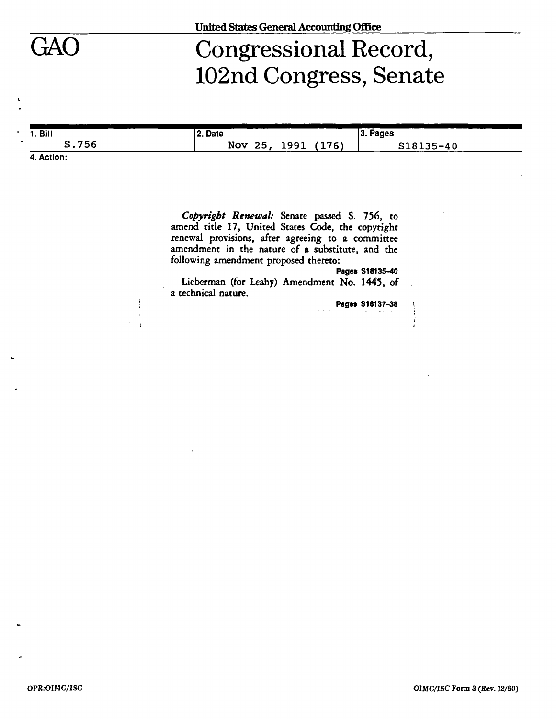# GAO Congressional Record, 102nd Congress, Senate

| 1. Bill      | 2. Date                             | 3. Pages  |
|--------------|-------------------------------------|-----------|
| S.756<br>--- | Nov<br>(176)<br>-25<br>1991<br>エンシエ | S18135-40 |

**4. Action:** 

*Copyright Renewal:* Senate passed S. 756, to amend title 17, United States Code, the copyright renewal provisions, after agreeing to **a** committee amendment in the nature of a substitute, and the following amendment proposed thereto:

**Pages S18135-40** 

Lieberman (for Leahy) Amendment No. 1445, of a technical nature.

**Pages S18137-38 \**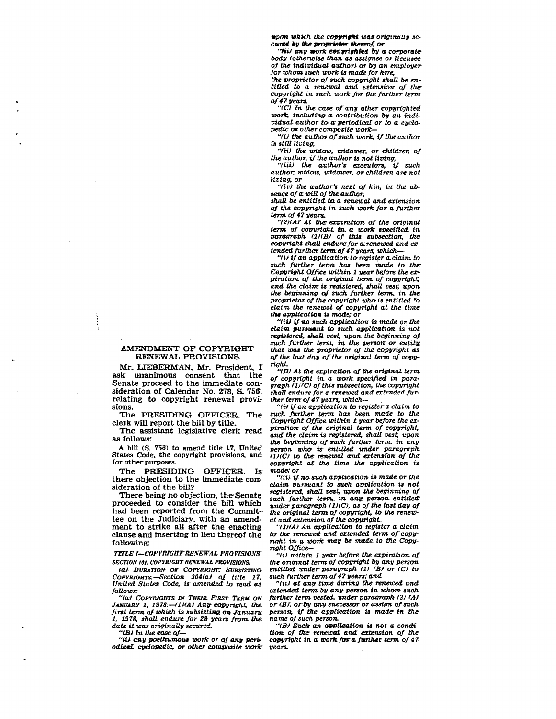*ttpon which the copyright was originally secured by tile proprietor thereof, or* 

*"tiil* any work eepyrighted by a corporate*body (otherwise than as assignee orlieensee of the individual author) or by an employer for whom such work is made for hire, the proprietor of such copyright shall be en-*

*titled to a renewal and extension of thecopyright in such work for the further term of 47 years.* 

*"(C) In the case of any other copyrighted work, including a contribution by an individual author to a periodical or to a cyclopedic or other composite work***—** 

*"(i) the author of such work, if the author is stilt living,* 

*"(H) the widow, widower, or children of the author, if the author is not living,* 

*"(Hi) the author's executors, if such author; widow, widower, or children are not living, or* 

*"(iv) the author's next of kin, in the absence of a. will of the author,* 

*shall be entitled to a renewal and extension of the copyright in suck work for a further term, of47years\*.* 

*"(2HAI At. the: expiration of the original term, of copyright in. a work specified in paragraph (:1)(B) of this subsection, the copyright shall endure for a.renewed and extended further term of 47 years, which***—** 

*"(i) if* **on** *application- to register a claim to such further term has been made to the Copyright Office within 1 year before the expiration of the original term of copyright, and the daim is registered, shall vest; upon the beginning of such further term, in the. proprietor of the copyright who-is entitled to claim the renewal of copyright at the time the application is made; or* 

*"(ii) if* **MO** *such application is made or the daim [pv.rsum.nt t](http://pv.rsum.nt)o such application is not registered, shall vest, upon the beginning of such further term, in the person or entity, that was the proprietor of the copyright as of the last day of the original term of copyright.* 

*"(B) At the expiration of the original term of copyright in a work specified in paragraph ri)(C) of this subsection, the copyright shall endure for a renewed and extended further term of 47 years, which—* 

*"(ilifan application to register a claim to such further term has been made to the Copyright Office within 1 year before the expiration of the original term of copyright, and the claim is registered, shall vest, upon the beginning of such further term, in any person who is entitled under paragraph (IXC) to the renewal and extension of the copyright at the time the application is made; or* 

*"(ii) if no such application is made or the claim pursuant to such application is not registered, shall vest, upon the. beginning of such further term,, in any person, entitled under paragraph (IXC), as of the last day of the original term of copyright, to the renew' al and extension of the copyright* 

*"(SXA) An application to register a claim to- the renewed and extended term of copyright in a work may be made, to the Copyright Office—* 

*"(i) within 1 year before the expiration of the original term of copyright by any person entitled under paragraph (II (B) or (C) to such further term of 47 years; and* 

*"(ii) at any time during the renewed and extended term, by any person in whom such further term vested, under paragraph (21 (A) or (Bf, or by any successor or assign of such person; if the application is made in the name of such person.* 

*"(B) Such an application is net a condition, of the renewal and extension of the copyright in a work far a further term of 4T years.* 

## AMENDMENT OF COPYRIGHT RENEWAL PROVISIONS

Mr. LIEBERMAN. Mr. President, I ask unanimous consent that the Senate proceed to the immediate consideration of Calendar No. 278, S. 756, relating to copyright renewal provisions.

The PRESIDING OFFICER. The clerk will report the bill by title.

The assistant legislative clerk read as follows:

**A bill (S. 756) to amend title 17, United States Code, the copyright provisions, and for other purposes.** 

The **PRESIDING OFFICER.** Is there objection to the immediate consideration of the bill?

There being no objection, the Senate proceeded to consider the bill which had been reported from the Committee on the Judiciary, with an amendment to strike all after the enacting clause and inserting in lieu thereof the following:

*TITLE I—COPYRIGHT REKEWAL PROVISIONS SECTION 101. COPYRIGHT RENEWAL PROVISIONS.* 

*(a) DURATION or COPYRIGHT: SUBSISTING COPYRIGHTS.—Section 304(a) of title 17, United States Code, is amended to read as follows:* 

*"(aJ COPYRIGHTS IN THEIR. FIRST TERM ON JANUARY 1, 1978.—(1)(A) Any- copyright, the. first term, of which is subsisting,* **on** *January. 1, 1978, shall endure for 28 years from, the date it teas originally secured.* 

*"(Ml In the ease of—* 

*"til any posthumous work or of any periodicml cyclopedic, or other composite work:*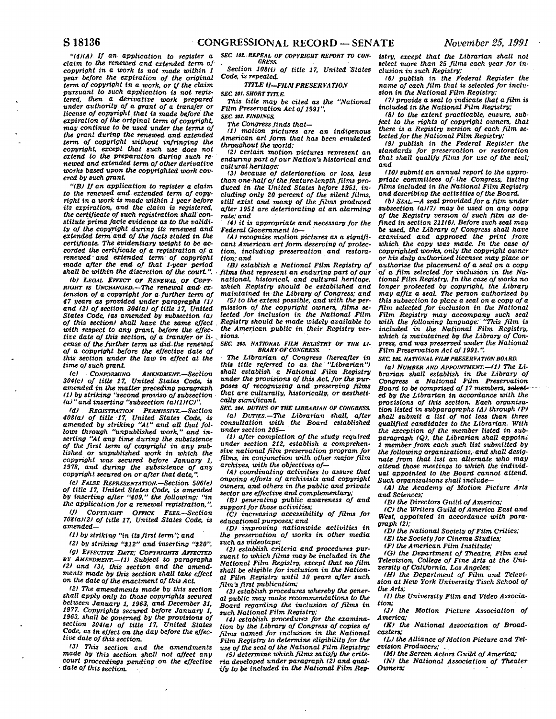*"(4)(A) If an application to register a claim to the renewed and extended term of copyright in a work is not made within 1 year before the expiration of the original term of copyright in a work, or if the claim pursuant to such application is not registered, then a derivative work prepared under authority of a grant of a transfer or license of copyright that is made before the expiration of the original term of copyright, may continue to be used under the terms of the grant during the renewed and extended term of copyright without infringing the copyright, except that such use does not extend to the preparation during such renewed and extended term of other derivative works based upon the copyrighted work covered by such grant* 

*"(B) If an application to register a claim to the renewed and extended term of copyright in a work is made within 1 year before its expiration, and the claim is registered, the certificate of such registration shall constitute prima facie evidence as to the validity of the copyright during its renewed and extended term and of the facts stated in the certificate. The evidentiary weight to be accorded the certificate of a registration of a renewed***"** *and extended term of copyright made after the end of that 1-year period shall be within the discretion of the court". •* 

*(b) LEGAL EFFECT or RENEWAL, or COPY-RIGHT IS UNCHANGED.—The renewal and- extension of a copyright for a further term of 47 years as provided under paragraphs (1) and (2) of section 304(a) of title 17, United States Code, (as amended by subsection (a) of this section) shall have the same effect . with respect to any grant, before the effective date of this section, of a transfer or li- . cense of the further term as did-the renewal of a copyright before the effective date of this section under the law in effect at the time of such grant* 

*tc) CONFORMING AMENDMENT.—Section 304(c) of title 17, United States Code, is amended, in the matter preceding paragraph (1) by striking "second proviso of subsection (a)" and inserting "subsection (a)(1)(C)".* 

*(d) REGISTRATION PERMISSIVE.—Section 408(a) of title 17, United States Code, is amended by striking "At" and all that follows through "unpublished work," and inserting "At any time during the subsistence of the first term of copyright in any published or unpublished work in which the copyright was secured before January 1, 1978, and during the subsistence of any copyright secured on or after that date,".* 

*(e) FALSE REPRESENTATION.—Section 506(e) of title 17, United States Code, is amended by inserting after "409," the following: "in the application for a renewal registration,".* 

*(f) COPYRIGHT OFFICE FEES.—Section 708(a)(2) of title 17, United States Code, is amended—* 

*(1) by striking "in its first term"; and* 

*(2) by striking "\$12" and inserting "(20".* 

*(g) EFFECTIVE DATE; COPYRIGHTS AFFECTED BY AMENDMENT.—(1) Subject to paragraphs (2) and (31, this section and the amendments made by this section shall take effect on the date of the enactment of this Act* 

*(2) The amendments made by this section shall apply only to those copyrights secured between January 1, 1963, and December 31, 1977. Copyrights secured before January 1, 1963, shall be governed by the provisions of section 304(a) of title 17, United States Code, as in effect on the day before the effective date of this section.* 

*(3) This section and the amendments made by this section shall not affect any court proceedings pending on the effective date of this section.* 

*SEC. 101. REPEAL OF COPYRIGHT REPORT TO CON-GRESS.* 

*Section 108(i) of title 17, United States Code, is repealed.* 

## *TITLE II—FILM PRESERVA* **770.V**

*SEC. 201. SHORT TITLE.* 

*This title may be cited as the "National Film Preservation Act of 1991". SEC. 101. FINDINGS* 

*The Congress finds that—* 

*(1) motion pictures are an indigenous American art form that has been emulated throughout the world;* 

*(2) certain motion pictures represent an enduring part of our Nation's historical and cultural heritage;* 

*(3) because of deterioration or loss, less than one-half of the feature-length films produced in the United States before 1951, including only 20 percent of the silent films, still exist and many of the films produced after 1951 are deteriorating at an alarming rate; and* 

*(4) it is appropriate and necessary for the Federal Government to—* 

*(A) recognize motion pictures as a significant American art form deserving of protection, including preservation and restoration; and* 

*(B) establish a National Film Registry of films that represent an enduring part of our national, historical, and cultural heritage, which Registry should be established and maintained in-the Library of Congress; and* 

*(5) to the extent possible, and with the permission of the copyright owners, films selected for inclusion in the National Film Registry should be made widely available to the American public in their Registry versions.* 

## *SEC. 103. NATIONAL FILM REGISTRY OF THE LI-BRARY OF CONGRESS.*

*The Librarian of Congress (hereafter in this title referred to as. the "Librarian") shall establish a National Film Registry under the provisions of this Act, for the purposes of recognizing and preserving films that are culturally, historically, or aesthetically significant* 

*SEC 104. DUTIES OF THE LIBRARIAN OP CONGRESS (a) DUTIES.—The Librarian shall, after consultation with the Board established under section 205—* 

*(1) after completion of the study required under section 212, establish a comprehensive national film preservation program for films, in conjunction with other major film archives, with the objectives of—* 

*(A) coordinating activities to assure that ongoing efforts of archivists and copyright owners, and others in the public and private sector are effective and complementary;* 

*(B) generating public awareness of and support for those activities;* 

*(C) increasing accessibility of films for educational purposes; and* 

*(D) improving nationwide activities in the preservation of works in other media such as videotape:* 

*(2) establish criteria and procedures pursuant to which films may be included in the National Film Registry, except that no film shall be eligible for inclusion in the National Film Registry until 10 years after such film's first publication;* 

*(3) establish procedures whereby the general public may make recommendations to the Board regarding the inclusion of films in such National Film Registry;* 

*(4) establish procedures for the examination by the Library of Congress of copies of films named for inclusion in the National . Film Registry to determine eligibility for the use of the seal of the National Film Registry;* 

*(5) determine which films satisfy the criteria developed under paragraph (2) and Qual*ify to be included in the National Film Reg*istry, except that the Librarian shall not select more than 25 films each year for inclusion in such Registry;* 

*(6) publish in the Federal Register the name of each film that is selected for inclusion in the National Film Registry;* 

*(7) provide a seal to indicate that a film is included in the National Film Registry;* 

*(8) to the extent practicable, ensure, subject to the rights of copyright owners, that there is a Registry version of each film selected for the National Film Registry;* 

*(9) publish in the Federal Register the standards for preservation or restoration that shall qualify films for use of the seal; and* 

*(10) submit an annual report to the appropriate committees of the Congress, listing films included in the National Film Registry and describing the activities of the Board.* 

*(b) SEAL.—A seal provided for a film under subsection (a)(7) may be used on any copy of the Registry version of such film as defined in section 211(6). Before such seal may be used, the Library of Congress shall have examined and approved the print from which the copy was made. In the case of copyrighted works, only the copyright owner or his duly authorized licensee may place or authorize the placement of a seal on a copy of a film selected for inclusion in the National Film Registry. In the case of works no longer protected by copyright the Library may affix a seal The person authorized by this subsection to place a seal on a copy of a film selected for inclusion in the National Film Registry may accompany such seal with the following language: "This film is included in the National Film Registry, which is maintained by the Library of Congress, and was preserved under the National Film Preservation Act of 1991.".* 

*SEC. 10S. NATIONAL FILM PRESERVATION BOARD.* 

*(a) NUMBER AND APPOINTMENT.—(1) The Librarian shall establish in the Library of Congress a National Film Preservation Board to be comprised of 17 members, teleei ed by the Librarian in accordance with the provisions of this section. Each organization listed in subparagraphs (A) through (P) shall submit a list of not less than three qualified candidates to the Librarian. With the exception of the member listed in subparagraph (Q), the Librarian shall appoint 1 member from each such list submitted by the following organizations, and shall designate from that list an alternate who may attend those meetings to which the individual appointed to the Board cannot attend. Such organizations shall include—* 

*(A) the Academy of Motion Picture Arts and Sciences;* 

*(B) the Directors Guild of America;* 

*(C) the Writers Guild of America East and West appointed in accordance with paragraph (2);* 

*(D) the National Society of Film Critics;* 

*(E) the Society for Cinema Studies;* 

*(F) the American Film Institute;* 

*(G) the Department of Theatre, Film and Television, College of Fine Arts at the University of California, Los Angeles;* 

*(H) the Department of Film and Television at New York University Tisch School of the Arts;* 

*(I) the University Film and Video Association;* 

*(J) the Motion Picture Association of America;* 

*(K) the National Association of Broadcasters;* 

*(L) the Alliance of Motion Picture and Television Producers;* **. .** 

*IM) the Screen Actors Guild of America;* 

*(N) the National Association of Theater Owners;*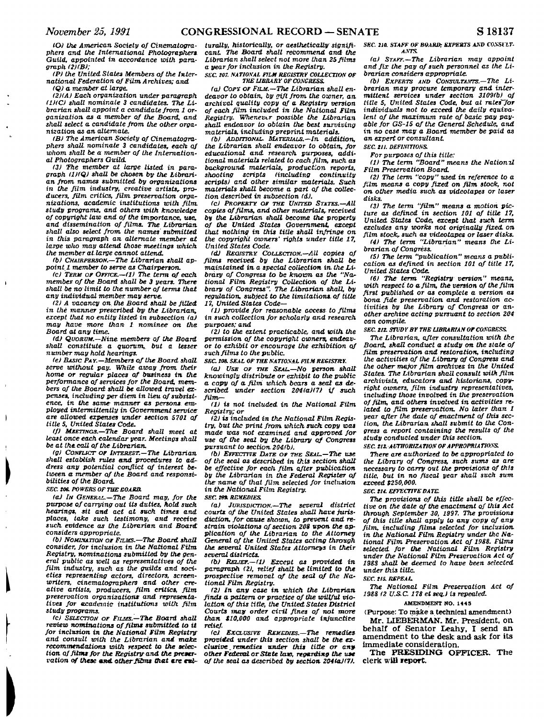*IOJ the American Society of Cinematographers and the International Photographers Guild, appointed in accordance with para* $graph$  (2)(B);

*(P) the United States Members of the International Federation of Film Archives; and.* 

*(Q) a member at large.* 

*(2HAI Each organization under paragraph (IXC) shall nominate 3 candidates. The Librarian shall appoint a candidate from 1 organization, as a member of the Board, and shall select a. candidate from the other organization as an alternate.* 

*(B) The American Society of Cinematographers shall nominate 3 candidates, each of whom shall be a member of the International Photographers Guild.* 

*(3) The member at large listed in paragraph I1XQ) shall be chosen by the Librarian from names submitted by organizations*  in the film industry, creative artists, pro*ducers, film critics, film preservation organizations, academic institutions with film, study programs, and others with knowledge of copyright law and of the importance, use, and dissemination of films. The Librarian shall also select from, the names submitted in this paragraph an. alternate member at large who may attend those meetings which the member at large cannot attend.* 

*(b) CHAIRPERSON.—The Librarian shall appoint! member to serve as Chairperson.* 

*<c> TERM OF OFFICE.—(1) The term of each member of the Board shall be 3 years. There shall be no limit to the number of terms that any individual member may serve.* 

*(2) A vacancy on the Board shall be filled in the manner prescribed by the Librarian, except that no entity listed in subsection (a) may have more than 1 nominee on the Board at any time.* 

*Id) QUORUM.—Nine members of the Board shall constitute a quorum, but a lesser number may hold hearings.* 

*(e) BASIC PAY.—Members of the Board shall serve without pay. While away from, their home or regular places of business in the performance of services for the Board, members of the Board shall be allowed travel expenses, including per diem in lieu of subsistence, in the same manner as persons, employed intermittently in Government service are allowed expenses under section 5701 of titles. United States Code.* 

*(f) MEETINGS.—The Board shall meet at least once each calendar year. Meetings shall be at the call of the Librarian.* 

*(g) CONFLICT OF INTEREST.—The Librarian shall establish rules and procedures to address any potential conflict of interest between a member of the Board and responsibilities of the Board.* 

**SEC. 206. POWERS OF THE GOARD.** 

*(a) IN GENERAL.—The Board may, for the purpose of carrying out its duties, hold such hearings, sit and act at such times and places, take such testimony, and receive such evidence as the Librarian and Board considers appropriate.* 

*tb) NOMINATION OF FILMS.***—***The Board shall consider, for inclusion in the National Film Registry, nominations submitted by the general public as well as representatives of the film industry, such as the guilds and societies representing actors, directors, screenwriters, cinematographers and other creative artists, producers, film critics, film preservation organizations and representatives for academic institutions with film study programs.* 

*(c) SELECTION OF FILMS.—The Board shall review nominations of films submitted to it for inclusion in the National Film Registry and consult with the Librarian and make recommendations with respect to the selection of films for the Registry and the preservation of these* **ami** *other films that* **ere** *na-*

*turally, historically, or aesthetically significant The Board shall recommend and the Librarian shall select not more than 25 films a year for inclusion in the Registry. SEC. 107. NATIONAL FILM REGISTRY COLLECTION OF* 

# *THE LIBRARY OF CONGRESS.*

*(a) COPY OF FILM.—The Librarian shall endeavor to obtain, by gift from the owner, an archival Quality copy of a Registry version of each film included in the National Film Registry. Whenever possible the Librarian shall endeavor to obtain the best surviving materials, including preprint materials.* 

*(b) ADDITIONAL. MATERIALS.—In addition, the Librarian shall endeavor to obtain, for educational and. research purposes, additional materials related to each film, such as background materials, production reports, shooting scripts (including continuity scripts) and other similar materials. Such materials shall become a part of the collection described in subsection (d).* 

*(c) PROPERTY OF THE UNITED STATES.—All copies of films, and other materials, received by the Librarian shall become the property of the United States Government, except that nothing in this title shall infringe on the copyright owners' rights under title 17, United States Code.* 

*Id) REGISTRY COLLECTION.—All copies of films received by the Librarian shall be maintained in. a special collection in. the Library of Congress to be known as the "Nar tional Film, Registry Collection of the Library of Congress". The Librarian shall, by regulation, subject to the limitations, of title 17, United States Code-*

*ID provide for reasonable access to films in such collection for scholarly and research purposes; and* 

*(2) to the extent practicable, and with the permission of the copyright owners, endeavor to exhibit or encourage the exhibition of such films to the public.* 

*SEC. 108. SEAL OF THE NATIONAL PltM REGISTRY.* 

*laJ USE OF THE SEAL.—NO person shall knowingly distribute or exhibit to the public a copy of a film which bears a seal as described under section 204(a)(7) if such film—* 

*(1) is not included in the National Film. Registry; or* 

*(2) is included in the National Film. Registry, but the print from which such copy was made was not examined and approved for use of the seal by the Library of Congress pursuant to section 204.1b).* 

*lb) EFFECTIVE DATE OF THE SEAL.—The use of tfie seal as described in this section shall be effective for each film, after publication by the Librarian in the Federal Register of the- name of that film, selected for inclusion in the National Film Registry.* 

**SEC. M\*** REMEDIES.

*(a) JURISDICTION.***—***The several district courts of the United States shall have jurisdiction, for cause shown, to prevent and restrain violations of section 208 upon the application of the Librarian to the Attorney General of the United States acting through the several United States Attorneys in their several districts.* 

*(b) RELIEF.—(1) Except as provided in paragraph (2), relief shall be limited to the prospective removal of the seal of the National Film Registry.* 

*(2) In any case in which the Librarian finds a pattern or practice of the willful violation of this title, the United States District Courts may order ciril fines of not more than \$10,000 and appropriate injunctive relief.* 

*(cl EXCLUSIVE REMEDIES.—The remedies provided under this section shall be the exclusive, remedies under this title or anyother Federal or State lav, regarding the use of the seal as described by section 204(a)(7).*  SEC. 210. STAFF OF BOARD; EXPERTS AND CONSULT-*ANTS.* 

*(a) STAFF.—The Librarian may appoint and fix the pay of such personnel as the Librarian considers appropriate.* 

*(b) EXPERTS AND CONSULTANTS.—The Librarian may procure temporary and intermittent services under section 3109(b) of title 5, United States Code, but at rates for individuals not to exceed the daily equivalent of the maximum rate of basic pay payable for GS-15 of the General Schedule, and in no case may a Board member be paid as an expert or consultant* 

*SEC. in. DEFINITIONS.* 

*For purposes of this title:* 

*(1) The term "Board" means the Natioml Film Preservation Board.* 

*(2) The term "copy" used in reference to a film means a copy fixed on film stock, not on other media such as videotapes or laser disks.* 

*(3) The term "film" means a motion picture as defined in section 101 of title 17, United States Code, except that such term excludes any works not originally fixed* **on**  *film stock, such as videotapes or laser disks. (4) The term "Librarian" means the Librarian of Congress.* 

*(5) The term "publication" means a publication as defined in section 101 of title 17, United States Cade.* 

*(6) The term "Registry version" means, with respect to a film, the version of the film first published or as complete a version as bona fide preservation and restoration activities by the Library of Congress or another archive acting pursuant to section 204 can compile.* 

*SEC. 211. STUDY BY THE LIBRARIAN OF CONGRESS.* 

*The Librarian, after consultation with the Board, shall conduct a study on the state of film preservation and restoration, including the activities of the Library of Congress and the other major film archives in the United States. The Librarian shall consult with film archivists, educators and historians, copyright owners, film industry representatives, including those involved in the preservation of film, and others involved in activities related to fUm preservation. No later than 1 year after the date of enactment of this section, the Librarian shall submit to the Congress a report containing the results of the study conducted under this section.* 

**SEC. 213. AUTHORIZATION OF APPROPRIATIONS.** 

*There are authorized to be appropriated to the Library of Congress, such sums as are necessary to carry out the provisions of this title, but in no fiscal year shall such sum exceed \$250,000.* 

*SEC. tit. EFFECTIVE DATE.* 

*The provisions of this title shall be effective on the date of the enactment of this Act through September 30, 1997. The provisions of this title shall apply to any copy of any film, including films selected for inclusion in the National Film Registry under the National FUm Preservation Act of 1988. Films selected for the National Film Registry under the National Film Preservation Act of 198S shall be deemed to have been selected under this title.* 

*SEC. IIS. REPEAL* 

*The National Film Preservation Act of 1988 (2 U.S.C. 178 et seq.) is repealed.* 

#### **AMENDMENT NO. 1445**

**(Purpose: To make a technical amendment) Mr. LIEBERMAN. Mr. President, on.** 

behalf of Senator Leahy, I send an **amendment t o th e desk and ask for its immediate consideration.** 

**The PRESIDING OFFICER. The clerk will report.**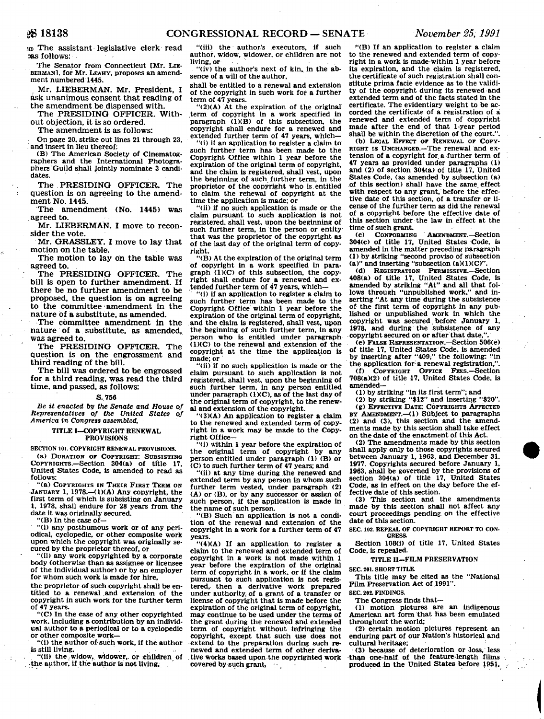an The assistant legislative clerk read aas follows:

The Senator from Connecticut **[Mr.** LIE-BERMAN], for Mr. LEAHY, proposes an amendment numbered 1445.

Mr. LIEBERMAN. Mr. President. I ask unanimous consent that reading of the amendment be dispensed with.

The PRESIDING OFFICER. Without objection, it is so ordered.

The amendment is as follows:

On page 20, strike out lines 21 through 23, and insert in lieu thereof:

(B) The American Society of Cinematographers and the International Photographers Guild shall Jointly nominate 3 candidates.

The PRESIDING OFFICER. The question is on agreeing to the amendment No. 1445.

The amendment (No. 1445) was agreed to.

Mr. LIEBERMAN. I move to reconsider the vote.

Mr. GRASSLEY. I move to lay that motion on the table.

The motion to lay on the table was **agreed** to.

The PRESIDING OFFICER. The bill is open to further amendment. If there be no further amendment to be proposed, the question is on agreeing to the committee amendment in the nature of a substitute, as amended.

The committee amendment in the nature of a substitute, as amended, **was agreed to.** 

The PRESIDING OFFICER. The question is on the engrossment and third reading of the bill.

The bill was ordered to be engrossed for a third reading, was read the third time, and passed, as follows:

### S.756

*Be it enacted by the Senate and House of Representatives of the United States of America in Congress assembled,* 

## TITLE I—COPYRIGHT RENEWAL PROVISIONS

**SECTION 101. COPYRIGHT RENEWAL PROVISIONS.** 

(a) DURATION OF COPYRIGHT: SUBSISTING COPYRIGHTS.—Section 304(a) of title 17, United. States Code, is amended to read as follows:

"(a) COPYRIGHTS IN THEIR FIRST TERM ON JANUARY 1, 1978. $-(1)(A)$  Any copyright, the first term of which is subsisting on January 1, 1978, shall endure for 28 years from the date it was originally secured.

"(B) In the case of—

"(i) any posthumous work or of any periodical, cyclopedic, or other composite work upon which the copyright was originally secured by the proprietor thereof, or

"(ii) any work copyrighted by a corporate body (otherwise than as assignee or licensee of the individual author) or by an employer for whom such work is made for hire,

the proprietor of such copyright shall be entitled to a renewal and extension of the copyright in such work for the further term of 47 years.

"(C) In the case of any other copyrighted work, including a contribution by an individual author to a periodical or to a cyclopedic or other composite work—

(i) the author of such work, if the author is still living.

"(ii) the , widow, widower,, or children of the author, if the author is not living.

"(iii) the author's executors, if such author, widow, widower, or children are not living, or .

"(iv) the author's next of kin. in the absence of a will of the author,

shall be entitled to a renewal and extension of the copyright in such work for a further term of 47 years.

"(2)(A) At the expiration of the original term of copyright in a work specified in paragraph  $(1)(B)$  of this subsection, the copyright shall endure for a renewed and extended further term of 47 years, which—

"(i) if an application to register a claim to such further term has been made to the Copyright Office within 1 year before the expiration of the original term of copyright, and the claim is registered, shall vest, upon the beginning of such further term, in the proprietor of the copyright who is.entitled to claim the renewal of copyright at the time the application is made: or

"(ii) if no such application is made or the claim pursuant to such application is not registered, shall vest, upon the beginning of such further term, in the person or entity that was the proprietor of the copyright as of the last day of the original term of copyright.

"(B) At the expiration of the original term of copyright in a work specified In para $graph (1)(C)$  of this subsection, the copyright shall endure for a renewed and ex-tended further term of 47 years, which—

"(i) if an application to register a claim to such further term has been made to the Copyright Office within 1 year before the expiration of the original term of copyright, and the claim is registered, shall vest, upon the beginning of such further term, in any person who is entitled under paragraph (1)(C) to the renewal and extension of the copyright at the time the application is made; or

"(ii) if no such application Is made or the claim pursuant to such application is not registered, shall vest, upon the beginning of such further term, in any person entitled under paragraph  $(1)(C)$ , as of the last day of the original term of copyright, to the renewal and extension of the copyright.

 $''(3)(A)$  An application to register a claim to the renewed and extended term of copyright in a work may be made to the Copyright Office—

"(i) within 1 year before the expiration of the original term of copyright by any person entitled under paragraph (1) (B) or (C) to such further term of 47 years; and

"(ii) at any time during the renewed and extended term by any person In whom such further term vested, under paragraph (2) (A) or (B), or by any successor or assign of such person, if the application is made in the name of such person.

"(B) Such an application is not a condition of the renewal and extension of the copyright in a work for a further term of 47 years.

"(4)(A) If an application to register a claim to the renewed and extended term of copyright in a work is not made within 1 year before the expiration of the original term of copyright in a work, or if the claim pursuant to such application is not registered, then a derivative work prepared under authority, of a grant of a transfer or license of copyright that is made before the expiration of the original term of copyright, may continue to be used under the terms of the grant during the renewed and extended term of copyright without Infringing the copyright, except that such use does not extend to the preparation during such renewed and extended term of other derivative works based upon the copyrighted work covered by such grant,

"(B) If an application to register a claim to the renewed and extended term of copyright in a work is made-within 1 year before its expiration, and the claim is registered, the certificate of such registration shall constitute prima facie evidence as to the validity of the copyright during its renewed and extended term and of the facts stated in the certificate. The evidentiary weight to be accorded the certificate of a registration of a renewed and extended term of copyright made after the end of that 1-year period shall be within the discretion of the court."

(b) LEGAL EFFECT OF RENEWAL OF COPY-RIGHT IS UNCHANGED.—The renewal and extension of a copyright for. a further term of 47 years as provided under paragraphs (1) and (2) of section 304(a) of title 17, United States Code, (as amended by subsection (a) of this section) shall have the same effect with respect to any grant, before the effective date of this section, of a transfer or license of the further term as did the renewal of a copyright before the effective date of this section under the law in effect at the time of such grant.

(c) CONFORMING AMENDMENT.—Section 304(c) of title 17, United States Code, is amended in the matter preceding paragraph (1) by striking "second proviso of subsection (a)" and inserting "subsection (a)(1)(C)".

(d) REGISTRATION PERMISSIVE.—Section 408(a) of title 17, United States Code, is amended by striking "At" and all that follows through "unpublished work," and inserting "At any time during the subsistence of the first term of copyright in any published or unpublished work In which the copyright was secured. before January 1. 1978, and during the subsistence of any copyright secured on or after that date,

(e) FALSE REPRESENTATION.—Section 506(e) of title 17, United States Code, is amended by inserting after "409," the following: ''in the application for a renewal registration,".

(f) COPYRIGHT OFFICE FEES.—Section 708(a)(2) of title 17, United States Code, is amended—

(1) by striking "in its first term"; and

(2) by striking "\$12" and inserting "\$20". (g) EFFECTIVE DATE; COPYRIGHTS AFFECTED

BY AMENDMENT.—(1) Subject to paragraphs (2) and (3), this section and the amendments made by this section shall take effect on the date of the enactment of this Act.

(2) The amendments made by this section shall apply only to those copyrights secured between January 1, 1963, and December 31. 1977. Copyrights secured before January 1, 1963, shall be governed by the provisions of section 304(a) of title 17, United States Code, as in effect on the day before the effective date of this section.

(3) This section and the amendments made by this section shall not affect any court proceedings pending on the effective date of this section.

**SEC. 102. REPEAL OF COPYRIGHT REPORT TO CON-GRESS.** 

Section 108(i) of title 17, United States Code, is repealed.

TITLE II—FILM PRESERVATION

**SEC. 201. SHORT TITLE.** 

This title may be cited as the "National Film Preservation Act of 1991".

**SEC. 202. FINDINGS.** 

The Congress finds that—

(1) motion pictures are an indigenous American art form that has been emulated throughout the world;

(2) certain motion pictures represent an enduring part of our Nation's historical and cultural heritage;

(3) because of deterioration or loss, less than one-half of the feature-length films produced in the United States before 1951,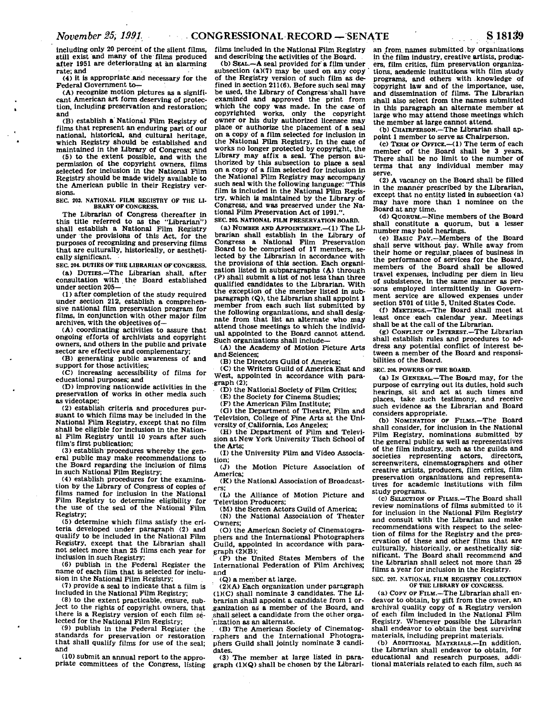**including only 20 percent of the silent films, still exist and many of the films produced after 1951 are deteriorating at an alarming rate; and** 

**(4) it is appropriate arid necessary for the Federal Government to—** 

**(A) recognize motion pictures as a significant American art form deserving of protection, including preservation and restoration; and** 

**(B) establish a' National Film Registry of films that represent an enduring part of our national, historical, and cultural heritage, which Registry should be established and maintained in the Library of Congress; and** 

**(5) to the extent possible, and with the permission of the copyright owners, films selected for Inclusion In the National Film Registry should be made widely available to the American public In their Registry versions.** 

**SEC. 203. NATIONAL FILM REGISTRY OF THE LI-BRARY OF CONGRESS.** 

**The Librarian of Congress (hereafter in this title referred to as the "Librarian") shall establish a National Film Registry under the provisions of this Act, for the purposes of recognizing and preserving films that are culturally, historically, or aesthetically significant.** 

**SEC. 204. DUTIES OF THE LIBRARIAN OF CONGRESS. (a) DUTIES.—The Librarian shall, after consultation with the Board established under section 205—** 

**(1) after completion of the study required under section 212, establish a comprehensive national film preservation program for films. In conjunction with other major film archives, with the objectives of—** 

**(A) coordinating activities to assure that ongoing efforts of archivists and copyright owners, and others In the public and private sector are effective and complementary;** 

**(B) generating public awareness of and support for those activities;** 

**(C) increasing accessibility of films for educational purposes; and** 

**(D) improving nationwide activities in the preservation of works in other media such as videotape;** 

**(2) establish criteria and procedures pursuant to which films may be included in the National Film Registry, except that no film**  shall be eligible for inclusion in the Nation**al Film Registry until 10 years after such film's first publication;** 

**(3) establish procedures whereby the general public may make recommendations to the Board regarding the inclusion of films in such National Film Registry;** 

**(4) establish procedures for the examination by the Library of Congress of copies of films named for inclusion In the National Film Registry to determine eligibility for the use of the seal of the National Film Registry;** 

**(5) determine which films satisfy the criteria developed under paragraph (2) and qualify to be included in the National Film Registry, except that the Librarian shall not select more than 25 films each year for inclusion in such Registry;** 

**(6) publish in the Federal Register the name of each film that is selected for inclusion in the National Film Registry;** 

**(7) provide a seal to indicate that a film is included in the National Film Registry;** 

**(8) to the extent practicable, ensure, subject to the rights of copyright owners, that there is a Registry version of each film selected for the National Film Registry;** 

**(9) publish In the Federal Register the standards for preservation or restoration that shall qualify films for use of the seal; and** 

**(10) submit an annual report to the appropriate committees of the Congress, listing**  **films Included in the National Film Registry and describing the activities of the Board.** 

(b) SEAL.-A seal provided for a film under **subsection (a)(7) may be.used on any copy of the Registry version of such film as de-fined In section 211(6). Before such seal may be used, the Library of Congress shall have examined and approved the print from which the copy was made. In the case of copyrighted works, only the copyright owner or his duly authorized licensee may place or authorize the placement of a seal on a copy of a film selected for inclusion In the National Film Registry. In the case of works no longer protected by copyright, the Library may affix a seal. The person authorized by this subsection to place a seal on a copy of a film selected for inclusion in the National Film Registry may accompany such seal with the following language: "This film Is included In the National Film Registry, which is maintained by the Library of Congress, and was preserved under the National Film Preservation Act of 1991.".** 

**SEC. 805. NATIONAL FILM PRESERVATION BOARD. (a) NUMBER AND APPOINTMENT.—(1) The Librarian shall establish in the Library of Congress a National Film Preservation Board to be comprised of 17 members, selected by the Librarian in accordance with the provisions of this section. Each organization listed in subparagraphs (A) through (P) shall submit a list of not less'than three qualified candidates to the Librarian. With the exception of the member listed In subparagraph (Q), the Librarian shall appoint 1 member from each such list submitted by the following organizations, and shall designate from that list an alternate who may attend those meetings to which the individual appointed to the Board cannot attend. Such organizations shall include—** 

**(A) the Academy of Motion Picture Arts and Sciences;** 

**(B) the Directors Guild of America;** 

**(C) the Writers Guild of America East and West, appointed In accordance with paragraph (2);** 

**• (D) the National Society of Film Critics;** 

**(E) the Society for Cinema Studies;** 

**(F) the American Film Institute;** 

**(G) the Department of Theatre, Film and Television, College of Fine Arts at the University of California, Los Angeles;** 

**(H) the Department of Film and Television at New York University Tisch School of the Arts;** 

**(I) the University Film and Video Association;** 

**(J) the Motion Picture Association of America;** 

**(K) the National Association of Broadcasters;** 

**(L) the Alliance of Motion Picture and Television Producers;** 

**(M) the Screen Actors Guild of America; (N) the National Association of Theater Owners;** 

**(O) the American Society of Cinematograpliers and the International Photographers Guild, appointed in accordance with paragraph (2KB);** 

**(P) the United States Members of the International Federation of Film Archives; and** 

**(Q) a member at large.** 

**(2)(A) Each organization under paragraph (IXC) shall nominate 3 candidates. The Librarian shall appoint a candidate from 1 organization as a member of the Board, and shall select a candidate from the other organization as an alternate.** 

**. (B) The American Society of Cinematographers and the International Photographers Guild shall jointly nominate 3 candidates.** 

**(3) The member at large listed in paragraph (1)(Q) shall be chosen by the Librari-** **an from, names submitted.by organizations in the film industry, creative artists, producers, film critics, film preservation organizations, academic institutions with film study programs, and others with .knowledge of copyright law and of the importance, use, and dissemination of films. The Librarian shall also select from the names submitted in this paragraph an alternate member at large who may attend those meetings which the member at large cannot attend.** 

**(b) CHAIRPERSON.—The Librarian shall appoint 1 member to serve as Chairperson.** 

**(c) TERM OP OFFICE.—(1) The term of each member of the Board shall be 3 years. There shall be no limit to the number of terms that any individual member may serve.** 

**(2) A vacancy on the Board shall be filled In the manner prescribed by the Librarian, except that no entity listed in subsection (a) may have more than 1 nominee on the Board at any time.** 

**(d) QUORUM.—Nine members of the Board shall constitute a quorum, but a lesser number may hold hearings.** 

**(e) BASIC PAY.—Members of the Board shall serve without pay. While away from their home or regular, places of business in the performance of services for the Board, members of the Board shall be allowed travel expenses, including per diem in lieu of subsistence, in the same manner as persons employed intermittently in Government service are allowed expenses under** 

**section 5701 of title 5, United States Code. (f) MEETINGS.—The Board shall meet at least once each calendar year. Meetings shall be at the call of the Librarian.** 

**(g) CONFLICT OP INTEREST.—The Librarian shall establish rules and procedures to address any potential conflict of interest between a member of the Board and responsibilities of the Board.** 

**SEC. 206. POWERS OF THE BOARD.** 

**(a) IN GENERAL.—The Board may, for the purpose of carrying out its duties, hold such hearings, sit and act at such times and places, take such testimony, and receive such evidence as the Librarian and Board considers appropriate.** 

**(b) NOMINATION OF FILMS.—The Board shall consider, for inclusion in the National Film Registry, nominations submitted by the general public as well as representatives of the film industry, such as the guilds and**  societies representing actors, **screenwriters, cinematographers and other creative artists, producers, film critics, film preservation organizations and representatives for academic institutions with film study programs.** 

**(c) SELECTION OF FILMS.—The Board shall review nominations of films submitted to it for inclusion in the National Film Registry and consult with the Librarian and make recommendations with respect to the selection of films for the Registry and the preservation of these and other films that are culturally, historically, or aesthetically sig-nificant. The Board shall recommend and the Librarian shall select not more than 25 films a year for inclusion in the Registry.** 

**SEC. 207. NATIONAL FILM REGISTRY COLLECTION OF THE LIBRARY OF CONGRESS.** 

**(a) COPY OP FILM.—The Librarian shall endeavor to obtain, by gift from the owner, an archival quality copy of a Registry version of each film included in the National Film Registry. Whenever possible the Librarian shall endeavor to obtain the best surviving materials, including preprint materials.** 

**(b) ADDITIONAL MATERIALS.—In addition, the Librarian shall endeavor to obtain, for educational and research purposes, additional materials related to each film, such as**